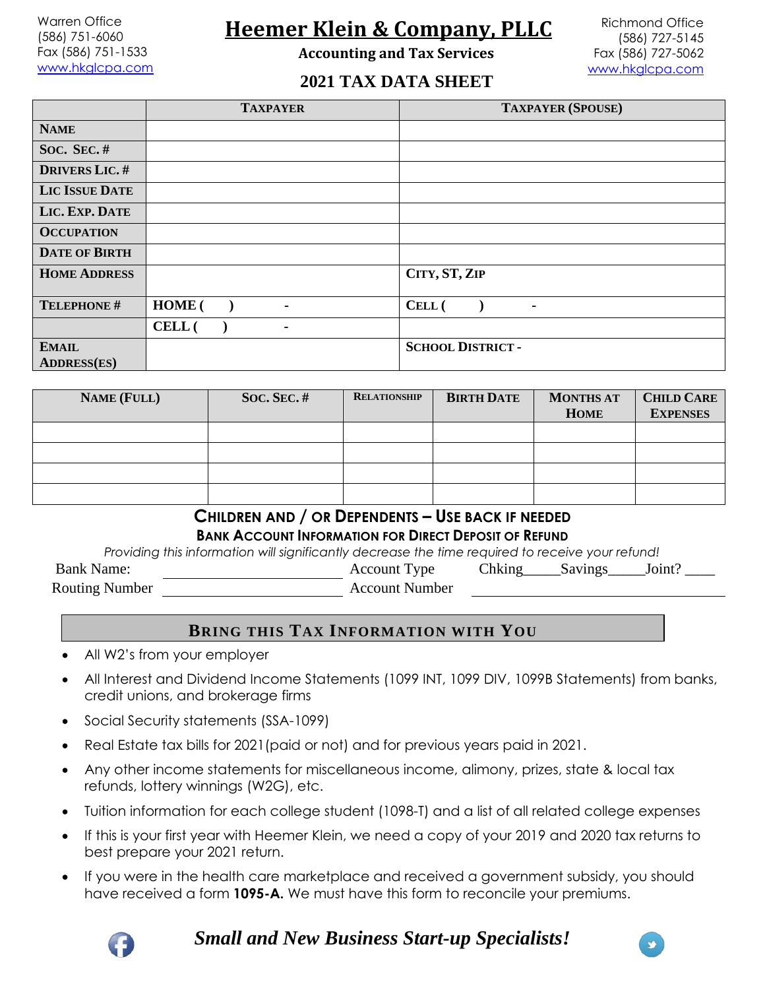Warren Office (586) 751-6060 Fax (586) 751-1533 [www.hkglcpa.com](http://www.hkglcpa.com/)

# **Heemer Klein & Company, PLLC**

**Accounting and Tax Services**

Richmond Office (586) 727-5145 Fax (586) 727-5062 [www.hkglcpa.com](http://www.hkglcpa.com/)

#### **2021 TAX DATA SHEET**

|                                    | <b>TAXPAYER</b>          | <b>TAXPAYER (SPOUSE)</b> |
|------------------------------------|--------------------------|--------------------------|
| <b>NAME</b>                        |                          |                          |
| SOC. SEC. $#$                      |                          |                          |
| <b>DRIVERS LIC.#</b>               |                          |                          |
| <b>LIC ISSUE DATE</b>              |                          |                          |
| LIC. EXP. DATE                     |                          |                          |
| <b>OCCUPATION</b>                  |                          |                          |
| <b>DATE OF BIRTH</b>               |                          |                          |
| <b>HOME ADDRESS</b>                |                          | CITY, ST, ZIP            |
| TELEPHONE #                        | HOME (<br>٠              | CELL (                   |
|                                    | CELL (<br>$\blacksquare$ |                          |
| <b>EMAIL</b><br><b>ADDRESS(ES)</b> |                          | <b>SCHOOL DISTRICT -</b> |

| <b>NAME (FULL)</b> | SOC. SEC. $#$ | <b>RELATIONSHIP</b> | <b>BIRTH DATE</b> | <b>MONTHS AT</b><br><b>HOME</b> | <b>CHILD CARE</b><br><b>EXPENSES</b> |
|--------------------|---------------|---------------------|-------------------|---------------------------------|--------------------------------------|
|                    |               |                     |                   |                                 |                                      |
|                    |               |                     |                   |                                 |                                      |
|                    |               |                     |                   |                                 |                                      |
|                    |               |                     |                   |                                 |                                      |

#### **CHILDREN AND / OR DEPENDENTS – USE BACK IF NEEDED**

**BANK ACCOUNT INFORMATION FOR DIRECT DEPOSIT OF REFUND**

*Providing this information will significantly decrease the time required to receive your refund!* Bank Name: Account Type Chking Savings Joint? Routing Number Account Number

#### **BRING THIS TAX INFORMATION WITH YOU**

- All W2's from your employer
- All Interest and Dividend Income Statements (1099 INT, 1099 DIV, 1099B Statements) from banks, credit unions, and brokerage firms
- Social Security statements (SSA-1099)
- Real Estate tax bills for 2021 (paid or not) and for previous years paid in 2021.
- Any other income statements for miscellaneous income, alimony, prizes, state & local tax refunds, lottery winnings (W2G), etc.
- Tuition information for each college student (1098-T) and a list of all related college expenses
- If this is your first year with Heemer Klein, we need a copy of your 2019 and 2020 tax returns to best prepare your 2021 return.
- If you were in the health care marketplace and received a government subsidy, you should have received a form **1095-A.** We must have this form to reconcile your premiums.



*Small and New Business Start-up Specialists!*